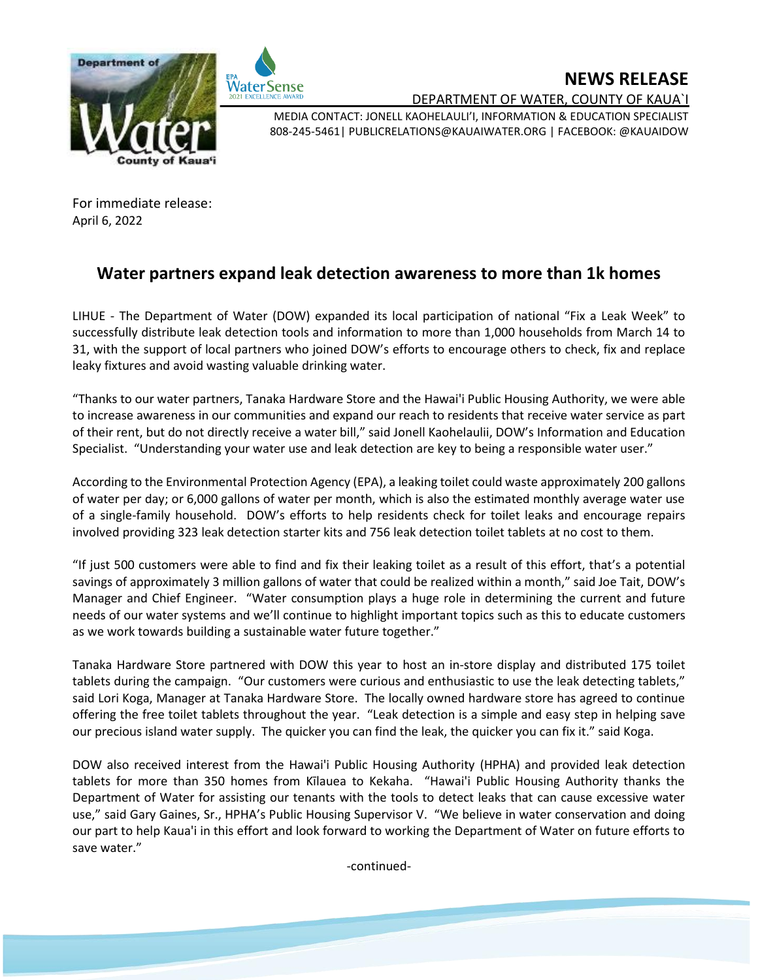



**NEWS RELEASE**

DEPARTMENT OF WATER, COUNTY OF KAUA`I

MEDIA CONTACT: JONELL KAOHELAULI'I, INFORMATION & EDUCATION SPECIALIST 808-245-5461| PUBLICRELATIONS@KAUAIWATER.ORG | FACEBOOK: @KAUAIDOW

For immediate release: April 6, 2022

## **Water partners expand leak detection awareness to more than 1k homes**

LIHUE - The Department of Water (DOW) expanded its local participation of national "Fix a Leak Week" to successfully distribute leak detection tools and information to more than 1,000 households from March 14 to 31, with the support of local partners who joined DOW's efforts to encourage others to check, fix and replace leaky fixtures and avoid wasting valuable drinking water.

"Thanks to our water partners, Tanaka Hardware Store and the Hawai'i Public Housing Authority, we were able to increase awareness in our communities and expand our reach to residents that receive water service as part of their rent, but do not directly receive a water bill," said Jonell Kaohelaulii, DOW's Information and Education Specialist. "Understanding your water use and leak detection are key to being a responsible water user."

According to the Environmental Protection Agency (EPA), a leaking toilet could waste approximately 200 gallons of water per day; or 6,000 gallons of water per month, which is also the estimated monthly average water use of a single-family household. DOW's efforts to help residents check for toilet leaks and encourage repairs involved providing 323 leak detection starter kits and 756 leak detection toilet tablets at no cost to them.

"If just 500 customers were able to find and fix their leaking toilet as a result of this effort, that's a potential savings of approximately 3 million gallons of water that could be realized within a month," said Joe Tait, DOW's Manager and Chief Engineer. "Water consumption plays a huge role in determining the current and future needs of our water systems and we'll continue to highlight important topics such as this to educate customers as we work towards building a sustainable water future together."

Tanaka Hardware Store partnered with DOW this year to host an in-store display and distributed 175 toilet tablets during the campaign. "Our customers were curious and enthusiastic to use the leak detecting tablets," said Lori Koga, Manager at Tanaka Hardware Store. The locally owned hardware store has agreed to continue offering the free toilet tablets throughout the year. "Leak detection is a simple and easy step in helping save our precious island water supply. The quicker you can find the leak, the quicker you can fix it." said Koga.

DOW also received interest from the Hawai'i Public Housing Authority (HPHA) and provided leak detection tablets for more than 350 homes from Kīlauea to Kekaha. "Hawai'i Public Housing Authority thanks the Department of Water for assisting our tenants with the tools to detect leaks that can cause excessive water use," said Gary Gaines, Sr., HPHA's Public Housing Supervisor V. "We believe in water conservation and doing our part to help Kaua'i in this effort and look forward to working the Department of Water on future efforts to save water."

-continued-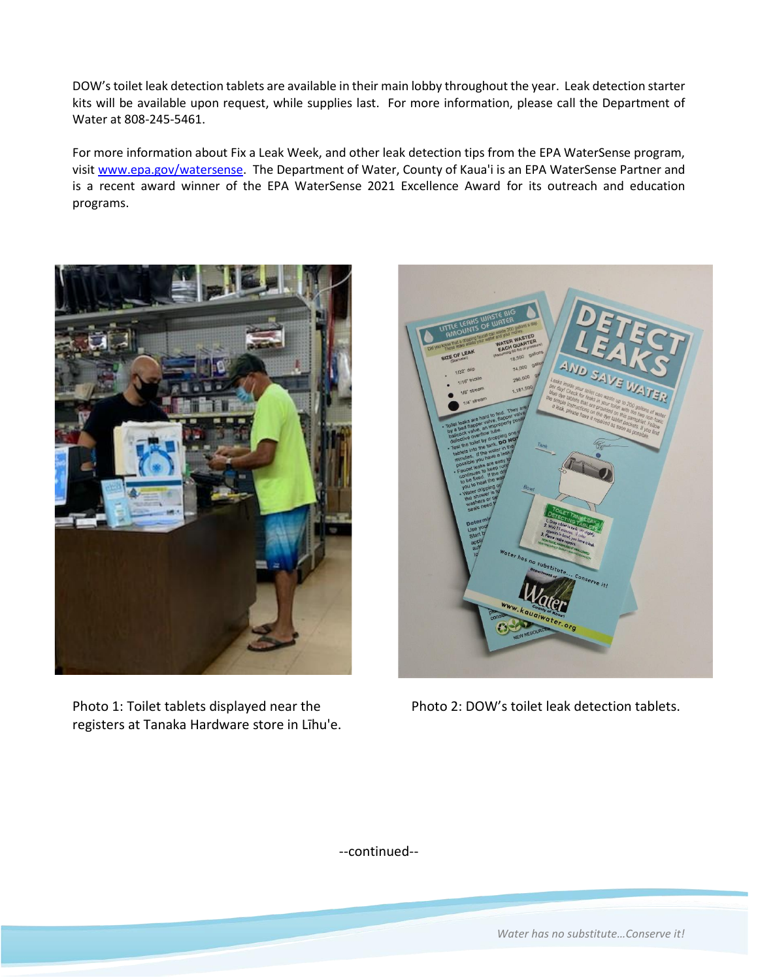DOW's toilet leak detection tablets are available in their main lobby throughout the year. Leak detection starter kits will be available upon request, while supplies last. For more information, please call the Department of Water at 808-245-5461.

For more information about Fix a Leak Week, and other leak detection tips from the EPA WaterSense program, visit [www.epa.gov/watersense.](http://www.epa.gov/watersense) The Department of Water, County of Kaua'i is an EPA WaterSense Partner and is a recent award winner of the EPA WaterSense 2021 Excellence Award for its outreach and education programs.



Photo 1: Toilet tablets displayed near the Photo 2: DOW's toilet leak detection tablets. registers at Tanaka Hardware store in Līhu'e.



--continued--